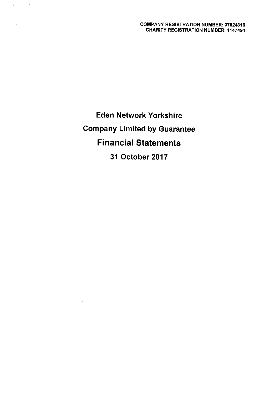Eden Network Yorkshire Company Limited by Guarantee Financial Statements 31 October 2017

 $\mathbf{r}$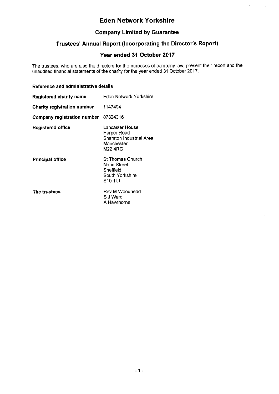$\hat{\mathcal{A}}$ 

 $\mathcal{A}$ 

## Company Limited by Guarantee

# Trustees' Annual Report (Incorporating the Director's Report)

## Year ended 31 October 2017

The trustees, who are also the directors for the purposes of company law, present their report and the unaudited financial statements of the charity for the year ended 31 October 2017.

### Reference and administrative details

| Registered charity name              | Eden Network Yorkshire                                                                     |
|--------------------------------------|--------------------------------------------------------------------------------------------|
| Charity registration number          | 1147494                                                                                    |
| Company registration number 07824316 |                                                                                            |
| <b>Registered office</b>             | Lancaster House<br>Harper Road<br>Sharston Industrial Area<br>Manchester<br><b>M22 4RG</b> |
| Principal office                     | St Thomas Church<br>Narin Street<br>Sheffield<br>South Yorkshire<br>S10 1UL                |
| The trustees                         | Rev M Woodhead<br>S J Ward<br>A Hawthorne                                                  |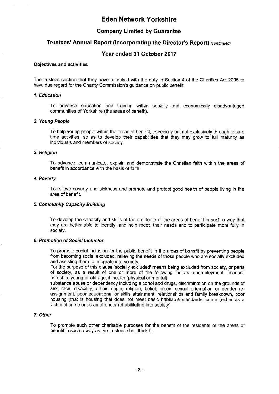### Company Limited by Guarantee

## Trustees' Annual Report (Incorporating the Director's Report) (continued)

### Year ended 31 October 2017

### Objectives and actlvltles

The trustees confirm that they have complied with the duty in Section 4 of the Charities Act 2006 to have due regard for the Charity Commission's guidance on public benefit.

#### 1. Education

To advance education and training within socially and economically disadvantaged communities of Yorkshire (the areas of benefit).

#### 2. Young People

To help young people within the areas of benefit, especially but not exclusively through leisure time activities, so as to develop their capabilities that they may grow to full maturity as individuals and members of society.

#### 3. Relialon

To advance, communicate, explain and demonstrate the Christian faith within the areas of benefit in accordance with the basis of faith.

#### 4. Poverty

To relieve poverty and sickness and promote and protect good health of people living in the area of benefit.

#### 5. Community Capacity Building

To develop the capacity and skills of the residents of the areas of benefit in such a way that they are better able to identify, and help meet, their needs and to participate more fully in society.

#### 6. Promotion of Social inclusion

To promote social inclusion for the public benefit in the areas of benefit by preventing people from becoming social excluded, relieving the needs of those people who are socially excluded and assisting them to integrate into society.

For the purpose of this clause 'socially excluded' means being excluded from society, or parts of society, as a result of one or more of the following factors: unemployment, financial hardship, young or old age, ill health (physical or mental),

substance abuse or dependency including alcohol and drugs, discrimination on the grounds of sex, race, disability, ethnic origin, religion, belief, creed, sexual orientation or gender reassignment, poor educational or skills attainment, relationships and family breakdown, poor housing (that is housing that does not meet basic habitable standards, crime (either as a victim of crime or as an offender rehabilitating into society).

### T. Other

To promote such other charitable purposes for the benefit of the residents of the areas of benefit in such a way as the trustees shall think fit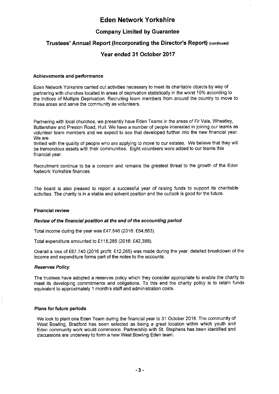## Company Limited by Guarantee

## Trustees' Annual Report (Incorporating the Director's Report) (continued)

## Year ended 31 October 2017

### Achievements and performance

Eden Network Yorkshire carried out activities necessary to meet its charitable objects by way of partnering with churches located in areas of deprivation statistically in the worst 10% according to the Indices of Multiple Deprivation. Recruiting team members from around the country to move to those areas and serve the community as volunteers.

Partnering with local churches, we presently have Eden Teams in the areas of Fir Vale, Wheatley, Buttershaw and Preston Road, Hull. We have a number of people interested in joining our teams as volunteer team members and we expect to see that developed further into the new financial year. We are

thrilled with the quality of people who are applying to move to our estates. We believe that they will be tremendous assets with their communities. Eight volunteers were added to our teams this financial year.

Recruitment continue to be a concern and remains the greatest threat to the growth of the Eden Network Yorkshire finances.

The board is also pleased to report a successful year of raising funds to support its charitable activities. The charity is in a stable and solvent position and the outlook is good for the future.

#### Flnanclal review

#### Review of the financial position at the end of the accounting period

Total income during the year was £47,546 (2016: £54,653).

Total expenditure amounted to £115,285 (2016: £42,388).

Overall a loss of F67,740 (2016 profit: F12,265) was made during the year, detailed breakdown of the income and expenditure forms part of the notes to the accounts.

#### Reserves Policy

The trustees have adopted a reserves policy which they consider appropriate to enable the charity to meet its developing commitments and obligations. To this end the charity policy is to retain funds equivalent to approximately <sup>1</sup> month's staff and administration costs.

#### Plans for future periods

VVe look to plant one Eden Team during the financial year to 31 October 2018. The community of West Bowling, Bradford has been selected as being a great location within which youth and Eden community work would commence. Partnership with St. Stephens has been identified and discussions are underway to form a new West Bowling Eden team.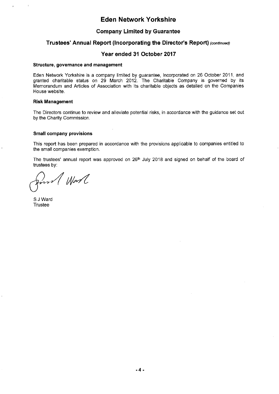### Company Limited by Guarantee

### Trustees' Annual Report (Incorporating the Director's Report) (continued)

### Year ended 31 October 2017

#### Structure, governance and management

Eden Network Yorkshire is a company limited by guarantee, incorporated on 26 October 2011, and granted charitable status on 29 March 2012. The Charitable Company is governed by its Memorandum and Articles of Association with its charitable objects as detailed on the Companies House website.

#### Risk Management

 $\mathfrak{c}$ 

The Directors continue to review and alleviate potential risks, in accordance with the guidance set out by the Charity Commission.

#### Small company provisions

This report has been prepared in accordance with the provisions applicable to companies entitled to the small companies exemption.

The trustees' annual report was approved on 26<sup>th</sup> July 2018 and signed on behalf of the board of trustees by:

Worl

S J Ward Trustee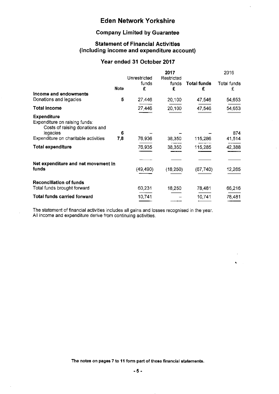# Company Limited by Guarantee

## Statement of Financial Activities (including income and expenditure account)

## Year ended 31 October 2017

|                                                                                                   |             | Unrestricted | 2017<br>Restricted |                         | 2016             |
|---------------------------------------------------------------------------------------------------|-------------|--------------|--------------------|-------------------------|------------------|
|                                                                                                   | <b>Note</b> | funds<br>£   | funds<br>£         | <b>Total funds</b><br>£ | Total funds<br>£ |
| Income and endowments                                                                             |             |              |                    |                         |                  |
| Donations and legacies                                                                            | 5           | 27 446       | 20,100             | 47,546                  | 54,653           |
| Total Income                                                                                      |             | 27 446       | 20,100             | 47.546                  | 54,653           |
| <b>Expenditure</b><br>Expenditure on raising funds:<br>Costs of raising donations and<br>legacies | 6           |              |                    |                         | 874              |
| Expenditure on charitable activities                                                              | 7,8         | 76,936       | 38,350             | 115,286                 | 41,514           |
| <b>Total expenditure</b>                                                                          |             | 76 935       | 38,350             | 115,285                 | 42,388           |
|                                                                                                   |             |              |                    |                         |                  |
| Net expenditure and net movement in<br>funds                                                      |             | (49, 490)    | (18, 250)          | (67, 740)               | 12,265           |
| <b>Reconciliation of funds</b>                                                                    |             |              |                    |                         |                  |
| Total funds brought forward                                                                       |             | 60,231       | 18,250             | 78,481                  | 66,216           |
| <b>Total funds carried forward</b>                                                                |             | 10.741       |                    | 10,741                  | 78,481           |

The statement of financial activities includes all gains and losses recognised in the year. All income and expenditure derive from continuing activities.

The notes on pages 7 to 11 form part of these financial statements.

 $\hat{\mathbf{A}}$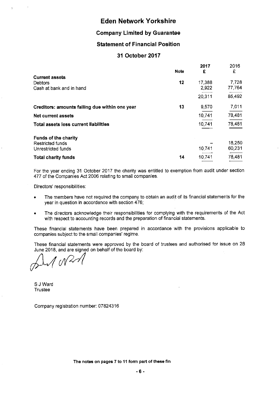### Company Limited by Guarantee

### Statement of Financial Position

### 31 October 2017

|                                                                     | <b>Note</b> | 2017<br>£       | 2016<br>£       |
|---------------------------------------------------------------------|-------------|-----------------|-----------------|
| <b>Current assets</b><br><b>Debtors</b><br>Cash at bank and in hand | 12          | 17,388<br>2,922 | 7,728<br>77,764 |
|                                                                     |             | 20,311          | 85,492          |
| Creditors: amounts falling due within one year                      | 13          | 9,570           | 7,011           |
| <b>Net current assets</b>                                           |             | 10,741          | 78,481          |
| <b>Total assets less current liabilities</b>                        |             | 10,741          | 78,481          |
| <b>Funds of the charity</b><br>Restricted funds                     |             |                 | 18,250          |
| Unrestricted funds                                                  |             | 10,741          | 60,231          |
| <b>Total charity funds</b>                                          | 14          | 10,741          | 78,481          |

For the year ending 31 October 2017 the charity was entitled to exemption from audit under section 477 of the Companies Act 2006 relating to small companies.

Directors' responsibilities:

- The members have not required the company to obtain an audit of its financial statements for the year in question in accordance with section 476;
- <sup>~</sup> The directors acknowledge their responsibilities for complying with the requirements of the Act with respect to accounting records and the preparation of financial statements.

These financial statements have been prepared in accordance with the provisions applicable to companies subject to the small companies' regime.

These financial statements were approved by the board of trustees and authorised for issue on 28 June 2018, and are signed on behalf of the board by

 $\Lambda$  on 2

6 J Ward **Trustee** 

Company registration number: 07824316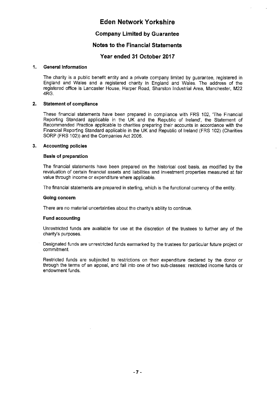### Company Limited by Guarantee

### Notes to the Financial Statements

### Year ended 31 October 2017

#### 1. General Information

The charity is a public benefit entity and a private company limited by guarantee, registered in England and Wales and a registered charity in England and Wales. The address of the registered office is Lancaster House, Harper Road, Sharston industrial Area, Manchester, M22 4RG.

#### 2. Statement of compliance

These financial statements have been prepared in compliance with FRS 102, 'The Financial Reporting Standard applicable in the UK and the Republic of Ireland', the Statement of Recommended Practice applicable to charities preparing their accounts in accordance with the Financial Reporting Standard applicable in the UK and Republic of Ireland (FRS 102) (Charities SORP (FRS 102)) and the Companies Act 2006.

#### 3. Accounting policies

#### Basis of preparation

The financial statements have been prepared on the historical cost basis, as modified by the revaluation of certain financial assets and liabilities and investment properties measured at fair value through income or expenditure where applicable.

The financial statements are prepared in sterling, which is the functional currency of the entity.

#### Going concern

There are no material uncertainties about the charity's ability to continue.

#### Fund accounting

Unrestricted funds are available for use at the discretion of the trustees to further any of the charity's purposes.

Designated funds are unrestricted funds earmarked by the trustees for particular future project or commitment.

Restricted funds are subjected to restrictions on their expenditure declared by the donor or through the terms of an appeal, and fall into one of two sub-classes: restricted income funds or endowment funds.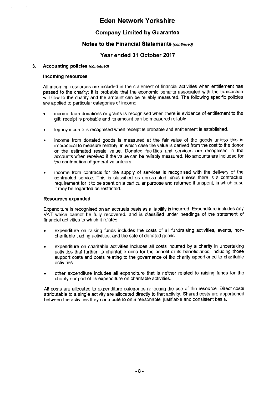## Company Limited by Guarantee

### Notes to the Financial Statements (continued)

## Year ended 31 October 2017

#### 3. Accounting policies (continued)

#### Incoming resources

All incoming resources are included in the statement of financial activities when entitlement has passed to the charity; it is probable that the economic benefits associated with the transaction will flow to the charity and the amount can be reliably measured. The following specific policies are applied to particular categories of income:

- income from donations or grants is recognised when there is evidence of entitlement to the gifi, receipt is probable and its amount can be measured reliably.
- legacy income is recognised when receipt is probable and entitlement is established.
- income from donated goods is measured at the fair value of the goods unless this is impractical to measure reliably, in which case the value is derived from the cost to the donor or the estimated resale value. Donated facilities and services are recognised in the accounts when received if the value can be reliably measured. No amounts are included for the contribution of general volunteers.
- <sup>~</sup> income from contracts for the supply of services is recognised with the delivery of the contracted service. This is classified as unrestricted funds unless there is a contractual requirement for it to be spent on a particular purpose and returned if unspent, in which case it may be regarded as restricted.

### Resources expended

Expenditure is recognised on an accruals basis as a liability is incurred. Expenditure includes any VAT which cannot be fully recovered, and is classified under headings of the statement of financial activities to which it relates:

- expenditure on raising funds includes the costs of all fundraising activities, events, noncharitable trading activities, and the sale of donated goods.
- expenditure on charitable activities includes all costs incurred by a charity in undertaking activities that further its charitable aims for the benefit of its beneficiaries, including those support costs and costs relating to the governance of the charity apportioned to charitable activities.
- other expenditure includes all expenditure that is neither related to raising funds for the charity nor part of its expenditure on charitable activities.

All costs are allocated to expenditure categories reflecting the use of the resource. Direct costs attributable to a single activity are allocated directly to that activity. Shared costs are apportioned between the activities they contribute to on a reasonable, justifiable and consistent basis.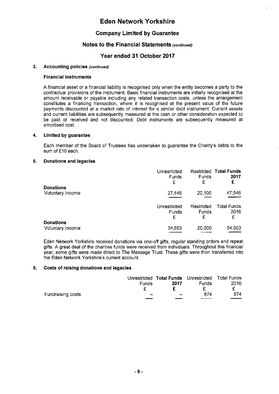## Company Limited by Guarantee

### Notes to the Financial Statements (continued)

## Year ended 31 October 2017

### 3. Accounting policies (continued)

### Financial instruments

A financial asset or a financial liability is recognised only when the entity becomes a party to the contractual provisions of the instrument. Basic financial instruments are initially recognised at the amount receivable or payable including any related transaction costs, unless the arrangement constitutes a financing transaction, where it is recognised at the present value of the future payments discounted at a market rate of interest for a similar debt instrument. Current assets and current liabilities are subsequently measured at the cash or other consideration expected to be paid or received and not discounted. Debt instruments are subsequently measured at amortised cost.

#### 4. Limited by guarantee

Each member of the Board of Trustees has undertaken to guarantee the Charity's debts to the sum of £10 each.

#### 5. Donations and legacies

|                                      | Unrestricted<br>Funds<br>£        | Funds<br>£                      | <b>Restricted Total Funds</b><br>2017<br>£ |
|--------------------------------------|-----------------------------------|---------------------------------|--------------------------------------------|
| <b>Donations</b><br>Voluntary Income | 27,446                            | 20,100                          | 47,546                                     |
|                                      | Unrestricted<br><b>Funds</b><br>£ | Restricted<br><b>Funds</b><br>£ | <b>Total Funds</b><br>2016<br>£            |
| <b>Donations</b><br>Voluntary Income | 34,653                            | 20,000                          | 54 653                                     |

Eden Network Yorkshire received donations via one-off gifts, regular standing orders and repeat gifts. A great deal of the charities funds were received from individuals. Throughout this financial year, some gifts were made direct to The Message Trust. These gifts were then transferred into the Eden Network Yorkshire's current account.

#### 6. Costs of raising donations and legacies

|                   |                          | Unrestricted Total Funds Unrestricted Total Funds |              |      |
|-------------------|--------------------------|---------------------------------------------------|--------------|------|
|                   | <b>Funds</b>             | 2017                                              | <b>Funds</b> | 2016 |
|                   |                          |                                                   |              |      |
| Fundraising costs | $\overline{\phantom{0}}$ | $\overline{\phantom{0}}$                          | 874          | 874  |
|                   |                          |                                                   |              |      |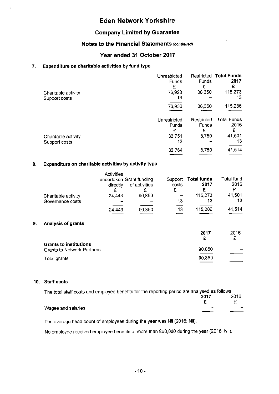## Company Limited by Guarantee

### Notes to the Financial Statements (continued)

### Year ended 31 October 2017

### 7. Expenditure on charitable activities by fund type

 $\sim 30-25$ 

 $\mathcal{L}$ 

|                     | Unrestricted | Restricted | <b>Total Funds</b> |
|---------------------|--------------|------------|--------------------|
|                     | Funds<br>£   | Funds<br>£ | 2017<br>£          |
| Charitable activity | 76 923       | 38,350     | 115,273            |
| Support costs       | 13           |            | 13                 |
|                     | 76,936       | 38.350     | 115,286            |
|                     | Unrestricted | Restricted | <b>Total Funds</b> |
|                     | Funds        | Funds      | 2016               |
|                     | £            | £          | £                  |
| Charitable activity | 32,751       | 8.750      | 41,501             |
| Support costs       | 13           |            | 13                 |
|                     | 32,764       | 8,750      | 41,514             |
|                     |              |            |                    |

### 8. Expenditure on charitable activities by activity type

|    | Charitable activity<br>Governance costs | <b>Activities</b><br>directly<br>24.443 | undertaken Grant funding<br>of activities<br>90,850 | Support<br>costs<br>£<br>13 | <b>Total funds</b><br>2017<br>£<br>115,273<br>13 | Total fund<br>2016<br>£<br>41,501<br>13 |
|----|-----------------------------------------|-----------------------------------------|-----------------------------------------------------|-----------------------------|--------------------------------------------------|-----------------------------------------|
|    |                                         | 24 443                                  | 90,850                                              | 13                          | 115,286                                          | 41,514                                  |
| 9. | <b>Analysis of grants</b>               |                                         |                                                     |                             |                                                  |                                         |

|                                   | 2017   | 2016 |
|-----------------------------------|--------|------|
|                                   | £      | £    |
| <b>Grants to institutions</b>     |        |      |
| <b>Grants to Network Partners</b> | 90,850 |      |
| Total grants                      | 90,850 |      |
|                                   |        |      |

### 10. Staff costs

| The total staff costs and employee benefits for the reporting period are analysed as follows: |      |      |  |  |
|-----------------------------------------------------------------------------------------------|------|------|--|--|
|                                                                                               | 2017 | 2016 |  |  |
|                                                                                               |      |      |  |  |
| Wages and salaries                                                                            |      |      |  |  |
|                                                                                               |      |      |  |  |

The average head count of employees during the year was Nil (2016: Nil).

No employee received employee benefits of more than F60,000 during the year (2016: Nil).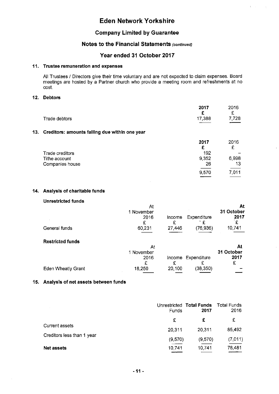$\mathcal{L}^{\text{max}}(\mathcal{L}^{\text{max}})$ 

 $\sim 3$ 

### Company Limited by Guarantee

### Notes to the Financial Statements (continued)

## Year ended 31 October 2017

### 11. Trustee remuneration and expenses

All Trustees / Directors give their time voluntary and are not expected to claim expenses. Board meetings are hosted by a Partner church who provide a meeting room and refreshments at no cost.

### 12. Debtors

|                                                    | 2017<br>£. | 2016<br>£    |
|----------------------------------------------------|------------|--------------|
| Trade debtors                                      | 17,388     | 7.728<br>___ |
| 13. Creditors: amounts falling due within one year |            | ----         |

|                 | 2017  | 2016                                   |
|-----------------|-------|----------------------------------------|
|                 |       | ∼                                      |
| Trade creditors | 192   |                                        |
| Tithe account   | 9.352 | 6.998                                  |
| Companies house | 26    | 13                                     |
|                 | 9,570 | 7 0 1 1                                |
|                 |       | $\overline{\phantom{iiiiiiiiiiiiiii}}$ |

### 14. Analysis of charitable funds

#### Unrestricted funds

|                           | At         |        |             | At         |
|---------------------------|------------|--------|-------------|------------|
|                           | 1 November |        |             | 31 October |
|                           | 2016       | Income | Expenditure | 2017       |
|                           | £          | £      | £           | £          |
| General funds             | 60,231     | 27,446 | (76.936)    | 10,741     |
|                           |            |        |             |            |
| <b>Restricted funds</b>   |            |        |             |            |
|                           | At         |        |             | At         |
|                           | 1 November |        |             | 31 October |
|                           | 2016       | Income | Expenditure | 2017       |
|                           | £          | £      |             | £          |
| <b>Eden Wheatly Grant</b> | 18,250     | 20,100 | (38, 350)   |            |
|                           |            |        |             |            |

### 15. Analysis of net assets between funds

|                                                     | Funds   | Unrestricted Total Funds<br>2017 | Total Funds<br>2016 |
|-----------------------------------------------------|---------|----------------------------------|---------------------|
| <b>Current assets</b><br>Creditors less than 1 year | £       | £                                | £                   |
|                                                     | 20,311  | 20,311                           | 85 492              |
|                                                     | (9,570) | (9,570)                          | (7,011)             |
| <b>Net assets</b>                                   | 10,741  | 10,741                           | 78,481              |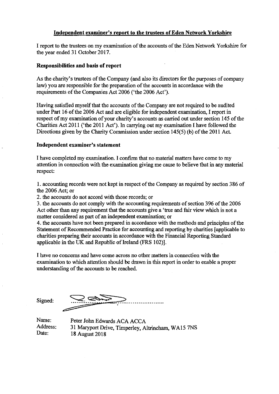### Independent examiner's report to the trustees of Eden Network Yorkshire

I report to the trustees on my examination of the accounts of the Eden Network Yorkshire for the year ended 31 October 2017.

### Responsibilities and basis of report

As the charity's trustees of the Company (and also its directors for the purposes of company law) you are responsible for the preparation of the accounts in accordance with the requirements of the Companies Act 2006 ('the 2006 Act').

Having satisfied myself that the accounts of the Company are not required to be audited under Part 16 of the 2006 Act and are eligible for independent examination, I report in respect of my examination of your charity's accounts as carried out under section 145 of the Charities Act 2011 ('the 2011 Act'). In carrying out my examination I have followed the Directions given by the Charity Commission under section  $145(5)$  (b) of the 2011 Act.

### Independent examiner's statement

I have completed my examination. I confirm that no material matters have come to my attention in connection with the examination giving me cause to believe that in any material respect:

1. accounting records were not kept in respect of the Company as required by section 386 of the 2006 Act; or

2. the accounts do not accord with those records; or

3. the accounts do not comply with the accounting requirements of section 396 of the 2006 Act other than any requirement that the accounts give a 'true and fair view which is not a matter considered as part of an independent examination; or

4. the accounts have not been prepared in accordance with the methods and principles of the Statement of Recommended Practice for accounting and reporting by charities [applicable to charities preparing their accounts in accordance with the Financial Reporting Standard applicable in the UK and Republic of Ireland (FRS 102)].

I have no concerns and have come across no other matters in connection with the examination to which attention should be drawn in this report in order to enable a proper understanding of the accounts to be reached.

Signed:

Name: Peter John Edwards ACA ACCA<br>Address: 31 Marynort Drive Timperley A Address: 31 Maryport Drive, Timperley, Altrincham, WA15 7NS<br>Date: 18 August 2018 18 August 2018